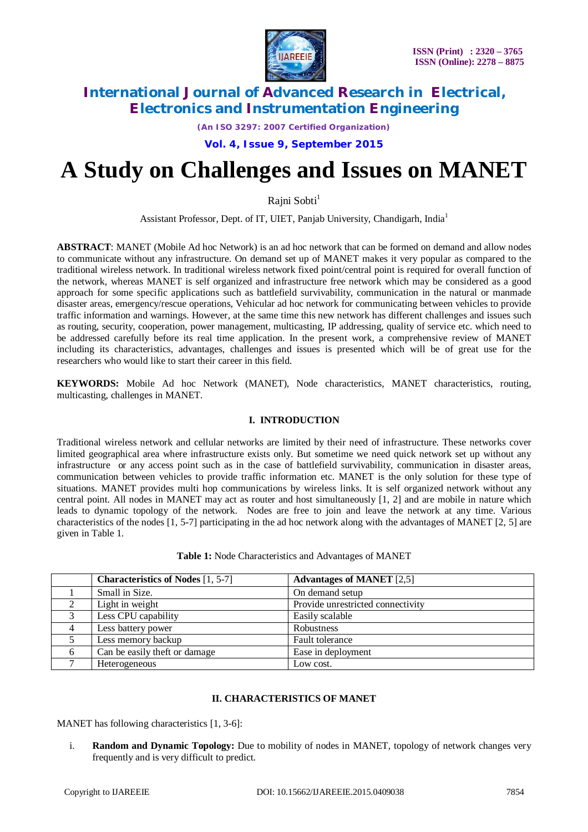

*(An ISO 3297: 2007 Certified Organization)*

**Vol. 4, Issue 9, September 2015**

# **A Study on Challenges and Issues on MANET**

Rajni Sobti<sup>1</sup>

Assistant Professor, Dept. of IT, UIET, Panjab University, Chandigarh, India<sup>1</sup>

**ABSTRACT**: MANET (Mobile Ad hoc Network) is an ad hoc network that can be formed on demand and allow nodes to communicate without any infrastructure. On demand set up of MANET makes it very popular as compared to the traditional wireless network. In traditional wireless network fixed point/central point is required for overall function of the network, whereas MANET is self organized and infrastructure free network which may be considered as a good approach for some specific applications such as battlefield survivability, communication in the natural or manmade disaster areas, emergency/rescue operations, Vehicular ad hoc network for communicating between vehicles to provide traffic information and warnings. However, at the same time this new network has different challenges and issues such as routing, security, cooperation, power management, multicasting, IP addressing, quality of service etc. which need to be addressed carefully before its real time application. In the present work, a comprehensive review of MANET including its characteristics, advantages, challenges and issues is presented which will be of great use for the researchers who would like to start their career in this field.

**KEYWORDS:** Mobile Ad hoc Network (MANET), Node characteristics, MANET characteristics, routing, multicasting, challenges in MANET.

#### **I. INTRODUCTION**

Traditional wireless network and cellular networks are limited by their need of infrastructure. These networks cover limited geographical area where infrastructure exists only. But sometime we need quick network set up without any infrastructure or any access point such as in the case of battlefield survivability, communication in disaster areas, communication between vehicles to provide traffic information etc. MANET is the only solution for these type of situations. MANET provides multi hop communications by wireless links. It is self organized network without any central point. All nodes in MANET may act as router and host simultaneously [1, 2] and are mobile in nature which leads to dynamic topology of the network. Nodes are free to join and leave the network at any time. Various characteristics of the nodes [1, 5-7] participating in the ad hoc network along with the advantages of MANET [2, 5] are given in Table 1.

**Table 1:** Node Characteristics and Advantages of MANET

|   | <b>Characteristics of Nodes</b> [1, 5-7] | <b>Advantages of MANET</b> [2,5]  |
|---|------------------------------------------|-----------------------------------|
|   | Small in Size.                           | On demand setup                   |
|   | Light in weight                          | Provide unrestricted connectivity |
|   | Less CPU capability                      | Easily scalable                   |
|   | Less battery power                       | Robustness                        |
|   | Less memory backup                       | Fault tolerance                   |
| 6 | Can be easily theft or damage            | Ease in deployment                |
|   | Heterogeneous                            | Low cost.                         |

#### **II. CHARACTERISTICS OF MANET**

MANET has following characteristics [1, 3-6]:

i. **Random and Dynamic Topology:** Due to mobility of nodes in MANET, topology of network changes very frequently and is very difficult to predict.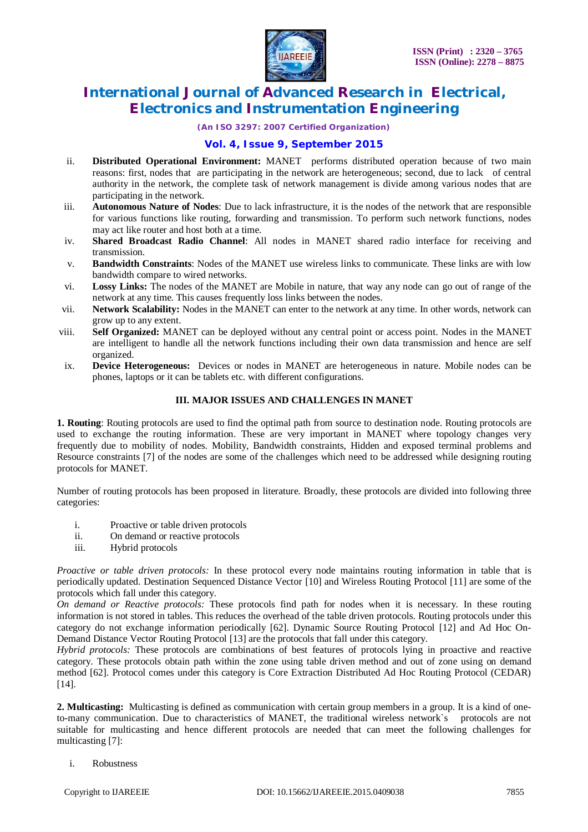

*(An ISO 3297: 2007 Certified Organization)*

#### **Vol. 4, Issue 9, September 2015**

- ii. **Distributed Operational Environment:** MANET performs distributed operation because of two main reasons: first, nodes that are participating in the network are heterogeneous; second, due to lack of central authority in the network, the complete task of network management is divide among various nodes that are participating in the network.
- iii. **Autonomous Nature of Nodes**: Due to lack infrastructure, it is the nodes of the network that are responsible for various functions like routing, forwarding and transmission. To perform such network functions, nodes may act like router and host both at a time.
- iv. **Shared Broadcast Radio Channel**: All nodes in MANET shared radio interface for receiving and transmission.
- v. **Bandwidth Constraints**: Nodes of the MANET use wireless links to communicate. These links are with low bandwidth compare to wired networks.
- vi. **Lossy Links:** The nodes of the MANET are Mobile in nature, that way any node can go out of range of the network at any time. This causes frequently loss links between the nodes.
- vii. **Network Scalability:** Nodes in the MANET can enter to the network at any time. In other words, network can grow up to any extent.
- viii. **Self Organized:** MANET can be deployed without any central point or access point. Nodes in the MANET are intelligent to handle all the network functions including their own data transmission and hence are self organized.
- ix. **Device Heterogeneous:** Devices or nodes in MANET are heterogeneous in nature. Mobile nodes can be phones, laptops or it can be tablets etc. with different configurations.

#### **III. MAJOR ISSUES AND CHALLENGES IN MANET**

**1. Routing**: Routing protocols are used to find the optimal path from source to destination node. Routing protocols are used to exchange the routing information. These are very important in MANET where topology changes very frequently due to mobility of nodes. Mobility, Bandwidth constraints, Hidden and exposed terminal problems and Resource constraints [7] of the nodes are some of the challenges which need to be addressed while designing routing protocols for MANET.

Number of routing protocols has been proposed in literature. Broadly, these protocols are divided into following three categories:

- i. Proactive or table driven protocols<br>ii. On demand or reactive protocols
- On demand or reactive protocols
- iii. Hybrid protocols

*Proactive or table driven protocols:* In these protocol every node maintains routing information in table that is periodically updated. Destination Sequenced Distance Vector [10] and Wireless Routing Protocol [11] are some of the protocols which fall under this category.

*On demand or Reactive protocols:* These protocols find path for nodes when it is necessary. In these routing information is not stored in tables. This reduces the overhead of the table driven protocols. Routing protocols under this category do not exchange information periodically [62]. Dynamic Source Routing Protocol [12] and Ad Hoc On-Demand Distance Vector Routing Protocol [13] are the protocols that fall under this category.

*Hybrid protocols:* These protocols are combinations of best features of protocols lying in proactive and reactive category. These protocols obtain path within the zone using table driven method and out of zone using on demand method [62]. Protocol comes under this category is Core Extraction Distributed Ad Hoc Routing Protocol (CEDAR) [14].

**2. Multicasting:** Multicasting is defined as communication with certain group members in a group. It is a kind of oneto-many communication. Due to characteristics of MANET, the traditional wireless network`s protocols are not suitable for multicasting and hence different protocols are needed that can meet the following challenges for multicasting [7]:

i. Robustness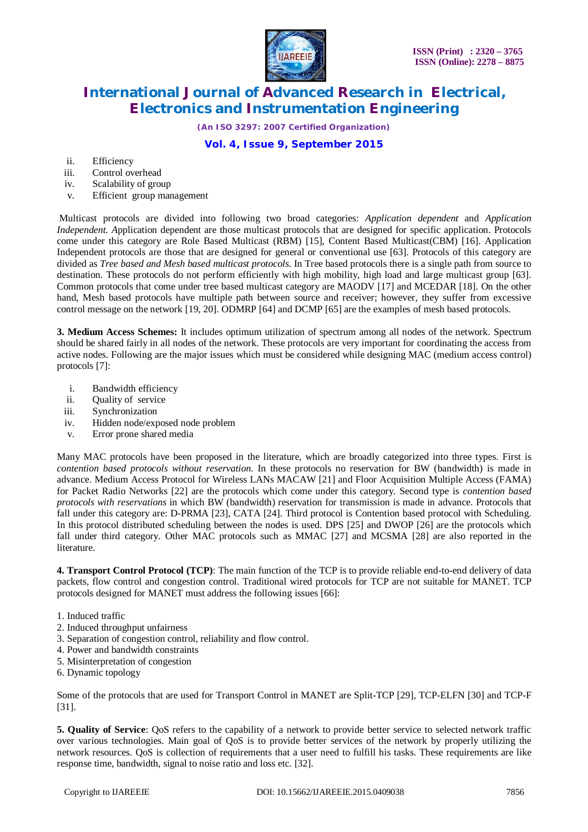

*(An ISO 3297: 2007 Certified Organization)*

### **Vol. 4, Issue 9, September 2015**

- ii. Efficiency
- iii. Control overhead
- iv. Scalability of group
- v. Efficient group management

Multicast protocols are divided into following two broad categories: *Application dependent* and *Application Independent. A*pplication dependent are those multicast protocols that are designed for specific application. Protocols come under this category are Role Based Multicast (RBM) [15], Content Based Multicast(CBM) [16]. Application Independent protocols are those that are designed for general or conventional use [63]. Protocols of this category are divided as *Tree based and Mesh based multicast protocols.* In Tree based protocols there is a single path from source to destination. These protocols do not perform efficiently with high mobility, high load and large multicast group [63]. Common protocols that come under tree based multicast category are MAODV [17] and MCEDAR [18]. On the other hand, Mesh based protocols have multiple path between source and receiver; however, they suffer from excessive control message on the network [19, 20]. ODMRP [64] and DCMP [65] are the examples of mesh based protocols.

**3. Medium Access Schemes:** It includes optimum utilization of spectrum among all nodes of the network. Spectrum should be shared fairly in all nodes of the network. These protocols are very important for coordinating the access from active nodes. Following are the major issues which must be considered while designing MAC (medium access control) protocols [7]:

- i. Bandwidth efficiency
- ii. Quality of service
- iii. Synchronization
- iv. Hidden node/exposed node problem
- v. Error prone shared media

Many MAC protocols have been proposed in the literature, which are broadly categorized into three types. First is *contention based protocols without reservation*. In these protocols no reservation for BW (bandwidth) is made in advance. Medium Access Protocol for Wireless LANs MACAW [21] and Floor Acquisition Multiple Access (FAMA) for Packet Radio Networks [22] are the protocols which come under this category. Second type is *contention based protocols with reservations* in which BW (bandwidth) reservation for transmission is made in advance. Protocols that fall under this category are: D-PRMA [23], CATA [24]. Third protocol is Contention based protocol with Scheduling. In this protocol distributed scheduling between the nodes is used. DPS [25] and DWOP [26] are the protocols which fall under third category. Other MAC protocols such as MMAC [27] and MCSMA [28] are also reported in the literature.

**4. Transport Control Protocol (TCP)**: The main function of the TCP is to provide reliable end-to-end delivery of data packets, flow control and congestion control. Traditional wired protocols for TCP are not suitable for MANET. TCP protocols designed for MANET must address the following issues [66]:

- 1. Induced traffic
- 2. Induced throughput unfairness
- 3. Separation of congestion control, reliability and flow control.
- 4. Power and bandwidth constraints
- 5. Misinterpretation of congestion
- 6. Dynamic topology

Some of the protocols that are used for Transport Control in MANET are Split-TCP [29], TCP-ELFN [30] and TCP-F [31].

**5. Quality of Service**: QoS refers to the capability of a network to provide better service to selected network traffic over various technologies. Main goal of QoS is to provide better services of the network by properly utilizing the network resources. QoS is collection of requirements that a user need to fulfill his tasks. These requirements are like response time, bandwidth, signal to noise ratio and loss etc. [32].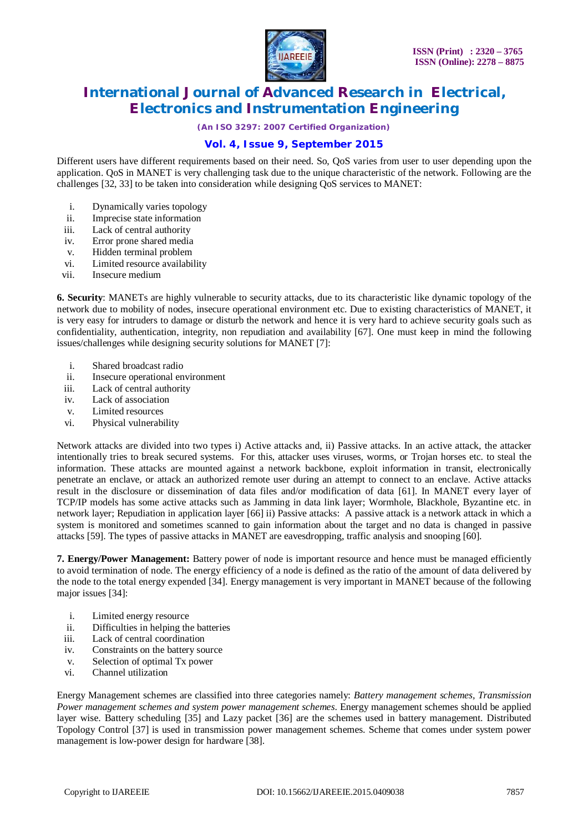

*(An ISO 3297: 2007 Certified Organization)*

### **Vol. 4, Issue 9, September 2015**

Different users have different requirements based on their need. So, QoS varies from user to user depending upon the application. QoS in MANET is very challenging task due to the unique characteristic of the network. Following are the challenges [32, 33] to be taken into consideration while designing QoS services to MANET:

- i. Dynamically varies topology
- ii. Imprecise state information
- iii. Lack of central authority
- iv. Error prone shared media
- v. Hidden terminal problem
- vi. Limited resource availability
- vii. Insecure medium

**6. Security**: MANETs are highly vulnerable to security attacks, due to its characteristic like dynamic topology of the network due to mobility of nodes, insecure operational environment etc. Due to existing characteristics of MANET, it is very easy for intruders to damage or disturb the network and hence it is very hard to achieve security goals such as confidentiality, authentication, integrity, non repudiation and availability [67]. One must keep in mind the following issues/challenges while designing security solutions for MANET [7]:

- i. Shared broadcast radio
- ii. Insecure operational environment
- iii. Lack of central authority
- iv. Lack of association
- v. Limited resources
- vi. Physical vulnerability

Network attacks are divided into two types i) Active attacks and, ii) Passive attacks. In an active attack, the attacker intentionally tries to break secured systems. For this, attacker uses viruses, worms, or Trojan horses etc. to steal the information. These attacks are mounted against a network backbone, exploit information in transit, electronically penetrate an enclave, or attack an authorized remote user during an attempt to connect to an enclave. Active attacks result in the disclosure or dissemination of data files and/or modification of data [61]. In MANET every layer of TCP/IP models has some active attacks such as Jamming in data link layer; Wormhole, Blackhole, Byzantine etc. in network layer; Repudiation in application layer [66] ii) Passive attacks: A passive attack is a network attack in which a system is monitored and sometimes scanned to gain information about the target and no data is changed in passive attacks [59]. The types of passive attacks in MANET are eavesdropping, traffic analysis and snooping [60].

**7. Energy/Power Management:** Battery power of node is important resource and hence must be managed efficiently to avoid termination of node. The energy efficiency of a node is defined as the ratio of the amount of data delivered by the node to the total energy expended [34]. Energy management is very important in MANET because of the following major issues [34]:

- i. Limited energy resource
- ii. Difficulties in helping the batteries
- iii. Lack of central coordination
- iv. Constraints on the battery source
- v. Selection of optimal Tx power
- vi. Channel utilization

Energy Management schemes are classified into three categories namely: *Battery management schemes, Transmission Power management schemes and system power management schemes*. Energy management schemes should be applied layer wise. Battery scheduling [35] and Lazy packet [36] are the schemes used in battery management. Distributed Topology Control [37] is used in transmission power management schemes. Scheme that comes under system power management is low-power design for hardware [38].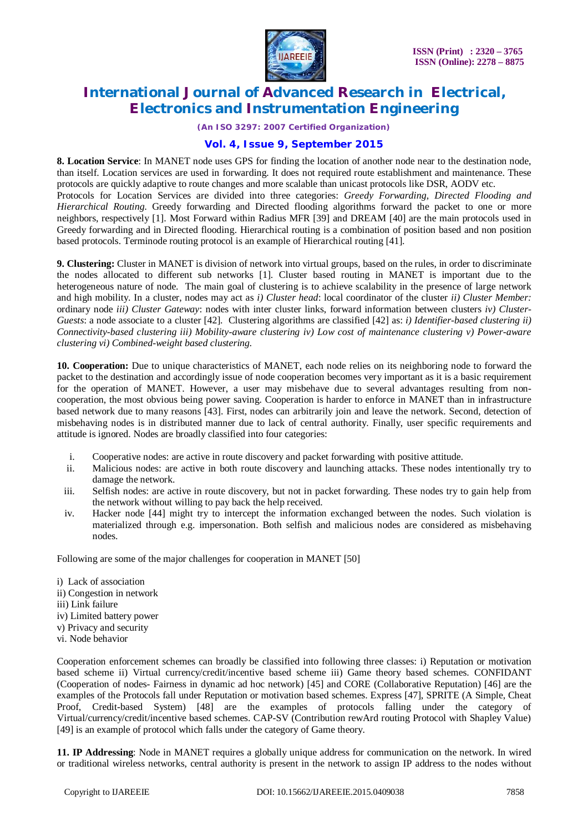

*(An ISO 3297: 2007 Certified Organization)*

### **Vol. 4, Issue 9, September 2015**

**8. Location Service**: In MANET node uses GPS for finding the location of another node near to the destination node, than itself. Location services are used in forwarding. It does not required route establishment and maintenance. These protocols are quickly adaptive to route changes and more scalable than unicast protocols like DSR, AODV etc. Protocols for Location Services are divided into three categories: *Greedy Forwarding, Directed Flooding and Hierarchical Routing.* Greedy forwarding and Directed flooding algorithms forward the packet to one or more neighbors, respectively [1]. Most Forward within Radius MFR [39] and DREAM [40] are the main protocols used in

Greedy forwarding and in Directed flooding. Hierarchical routing is a combination of position based and non position

based protocols. Terminode routing protocol is an example of Hierarchical routing [41].

**9. Clustering:** Cluster in MANET is division of network into virtual groups, based on the rules, in order to discriminate the nodes allocated to different sub networks [1]. Cluster based routing in MANET is important due to the heterogeneous nature of node. The main goal of clustering is to achieve scalability in the presence of large network and high mobility. In a cluster, nodes may act as *i) Cluster head*: local coordinator of the cluster *ii) Cluster Member:* ordinary node *iii) Cluster Gateway*: nodes with inter cluster links, forward information between clusters *iv) Cluster-Guests*: a node associate to a cluster [42]. Clustering algorithms are classified [42] as: *i) Identifier-based clustering ii) Connectivity-based clustering iii) Mobility-aware clustering iv) Low cost of maintenance clustering v) Power-aware clustering vi) Combined-weight based clustering.*

**10. Cooperation:** Due to unique characteristics of MANET, each node relies on its neighboring node to forward the packet to the destination and accordingly issue of node cooperation becomes very important as it is a basic requirement for the operation of MANET. However, a user may misbehave due to several advantages resulting from noncooperation, the most obvious being power saving. Cooperation is harder to enforce in MANET than in infrastructure based network due to many reasons [43]. First, nodes can arbitrarily join and leave the network. Second, detection of misbehaving nodes is in distributed manner due to lack of central authority. Finally, user specific requirements and attitude is ignored. Nodes are broadly classified into four categories:

- i. Cooperative nodes: are active in route discovery and packet forwarding with positive attitude.
- ii. Malicious nodes: are active in both route discovery and launching attacks. These nodes intentionally try to damage the network.
- iii. Selfish nodes: are active in route discovery, but not in packet forwarding. These nodes try to gain help from the network without willing to pay back the help received.
- iv. Hacker node [44] might try to intercept the information exchanged between the nodes. Such violation is materialized through e.g. impersonation. Both selfish and malicious nodes are considered as misbehaving nodes.

Following are some of the major challenges for cooperation in MANET [50]

- i) Lack of association
- ii) Congestion in network
- iii) Link failure
- iv) Limited battery power
- v) Privacy and security
- vi. Node behavior

Cooperation enforcement schemes can broadly be classified into following three classes: i) Reputation or motivation based scheme ii) Virtual currency/credit/incentive based scheme iii) Game theory based schemes. CONFIDANT (Cooperation of nodes- Fairness in dynamic ad hoc network) [45] and CORE (Collaborative Reputation) [46] are the examples of the Protocols fall under Reputation or motivation based schemes. Express [47], SPRITE (A Simple, Cheat Proof, Credit-based System) [48] are the examples of protocols falling under the category of Virtual/currency/credit/incentive based schemes. CAP-SV (Contribution rewArd routing Protocol with Shapley Value) [49] is an example of protocol which falls under the category of Game theory.

**11. IP Addressing**: Node in MANET requires a globally unique address for communication on the network. In wired or traditional wireless networks, central authority is present in the network to assign IP address to the nodes without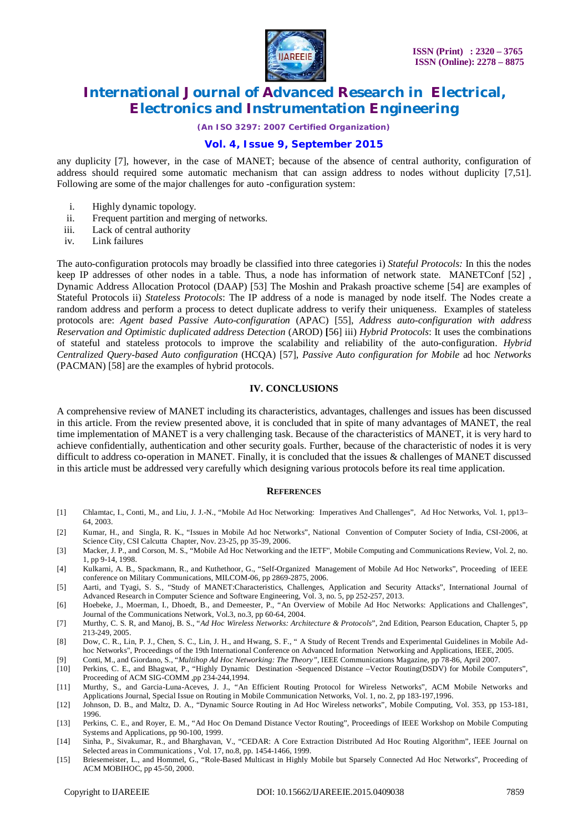

*(An ISO 3297: 2007 Certified Organization)*

### **Vol. 4, Issue 9, September 2015**

any duplicity [7], however, in the case of MANET; because of the absence of central authority, configuration of address should required some automatic mechanism that can assign address to nodes without duplicity [7,51]. Following are some of the major challenges for auto -configuration system:

- i. Highly dynamic topology.
- ii. Frequent partition and merging of networks.
- iii. Lack of central authority
- iv. Link failures

The auto-configuration protocols may broadly be classified into three categories i) *Stateful Protocols:* In this the nodes keep IP addresses of other nodes in a table. Thus, a node has information of network state. MANETConf [52] , Dynamic Address Allocation Protocol (DAAP) [53] The Moshin and Prakash proactive scheme [54] are examples of Stateful Protocols ii) *Stateless Protocols*: The IP address of a node is managed by node itself. The Nodes create a random address and perform a process to detect duplicate address to verify their uniqueness.Examples of stateless protocols are: *Agent based Passive Auto-configuration* (APAC) [55], *Address auto-configuration with address Reservation and Optimistic duplicated address Detection* (AROD) **[**56] iii) *Hybrid Protocols*: It uses the combinations of stateful and stateless protocols to improve the scalability and reliability of the auto-configuration. *Hybrid Centralized Query-based Auto configuration* (HCQA) [57], *Passive Auto configuration for Mobile* ad hoc *Networks*  (PACMAN) [58] are the examples of hybrid protocols.

#### **IV. CONCLUSIONS**

A comprehensive review of MANET including its characteristics, advantages, challenges and issues has been discussed in this article. From the review presented above, it is concluded that in spite of many advantages of MANET, the real time implementation of MANET is a very challenging task. Because of the characteristics of MANET, it is very hard to achieve confidentially, authentication and other security goals. Further, because of the characteristic of nodes it is very difficult to address co-operation in MANET. Finally, it is concluded that the issues & challenges of MANET discussed in this article must be addressed very carefully which designing various protocols before its real time application.

#### **REFERENCES**

- [1] Chlamtac, I., Conti, M., and Liu, J. J.-N., "Mobile Ad Hoc Networking: Imperatives And Challenges", Ad Hoc Networks, Vol. 1, pp13– 64, 2003.
- [2] Kumar, H., and Singla, R. K., "Issues in Mobile Ad hoc Networks", National Convention of Computer Society of India, CSI-2006, at Science City, CSI Calcutta Chapter, Nov. 23-25, pp 35-39, 2006.
- [3] Macker, J. P., and Corson, M. S., "Mobile Ad Hoc Networking and the IETF", Mobile Computing and Communications Review, Vol. 2, no. 1, pp 9-14, 1998.
- [4] Kulkarni, A. B., Spackmann, R., and Kuthethoor, G., "Self-Organized Management of Mobile Ad Hoc Networks", Proceeding of IEEE conference on Military Communications, MILCOM-06, pp 2869-2875, 2006.
- [5] Aarti, and Tyagi, S. S., "Study of MANET:Characteristics, Challenges, Application and Security Attacks", International Journal of Advanced Research in Computer Science and Software Engineering, Vol. 3, no. 5, pp 252-257, 2013.
- [6] Hoebeke, J., Moerman, I., Dhoedt, B., and Demeester, P., "An Overview of Mobile Ad Hoc Networks: Applications and Challenges", Journal of the Communications Network, Vol.3, no.3, pp 60-64, 2004.
- [7] Murthy, C. S. R, and Manoj, B. S., "*Ad Hoc Wireless Networks: Architecture & Protocols*", 2nd Edition, Pearson Education, Chapter 5, pp 213-249, 2005.
- [8] Dow, C. R., Lin, P. J., Chen, S. C., Lin, J. H., and Hwang, S. F., " A Study of Recent Trends and Experimental Guidelines in Mobile Adhoc Networks", Proceedings of the 19th International Conference on Advanced Information Networking and Applications, IEEE, 2005.
- [9] Conti, M., and Giordano, S., "*Multihop Ad Hoc Networking: The Theory",* IEEE Communications Magazine, pp 78-86, April 2007.
- [10] Perkins, C. E., and Bhagwat, P., "Highly Dynamic Destination -Sequenced Distance –Vector Routing(DSDV) for Mobile Computers", Proceeding of ACM SIG-COMM ,pp 234-244,1994.
- [11] Murthy, S., and Garcia-Luna-Aceves, J. J., "An Efficient Routing Protocol for Wireless Networks", ACM Mobile Networks and Applications Journal, Special Issue on Routing in Mobile Communication Networks, Vol. 1, no. 2, pp 183-197,1996.

[12] Johnson, D. B., and Maltz, D. A., "Dynamic Source Routing in Ad Hoc Wireless networks", Mobile Computing, Vol. 353, pp 153-181, 1996.

- [13] Perkins, C. E., and Royer, E. M., "Ad Hoc On Demand Distance Vector Routing", Proceedings of IEEE Workshop on Mobile Computing Systems and Applications, pp 90-100, 1999.
- [14] Sinha, P., Sivakumar, R., and Bharghavan, V., "CEDAR: A Core Extraction Distributed Ad Hoc Routing Algorithm", IEEE Journal on Selected areas in Communications , Vol. 17, no.8, pp. 1454-1466, 1999.
- [15] Briesemeister, L., and Hommel, G., "Role-Based Multicast in Highly Mobile but Sparsely Connected Ad Hoc Networks", Proceeding of ACM MOBIHOC, pp 45-50, 2000.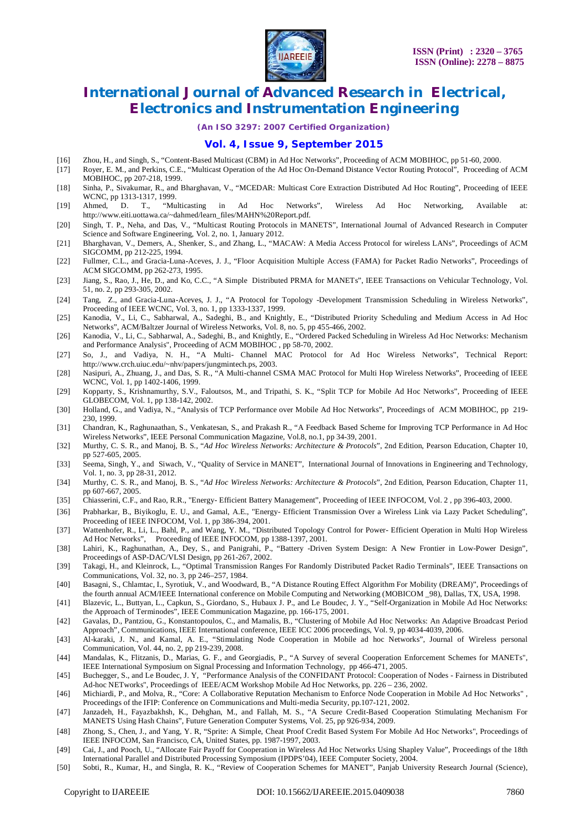

*(An ISO 3297: 2007 Certified Organization)*

#### **Vol. 4, Issue 9, September 2015**

- [16] Zhou, H., and Singh, S., "Content-Based Multicast (CBM) in Ad Hoc Networks", Proceeding of ACM MOBIHOC, pp 51-60, 2000.<br>[17] Rover, E. M., and Perkins, C.E., "Multicast Operation of the Ad Hoc On-Demand Distance Vecto
- [17] Royer, E. M., and Perkins, C.E., "Multicast Operation of the Ad Hoc On-Demand Distance Vector Routing Protocol", Proceeding of ACM MOBIHOC, pp 207-218, 1999.
- [18] Sinha, P., Sivakumar, R., and Bharghavan, V., "MCEDAR: Multicast Core Extraction Distributed Ad Hoc Routing", Proceeding of IEEE WCNC, pp 1313-1317, 1999.<br>Ahmed, D. T., "Multicasting
- [19] Ahmed, D. T., "Multicasting in Ad Hoc Networks", Wireless Ad Hoc Networking, Available at: http://www.eiti.uottawa.ca/~dahmed/learn\_files/MAHN%20Report.pdf.
- [20] Singh, T. P., Neha, and Das, V., "Multicast Routing Protocols in MANETS", International Journal of Advanced Research in Computer Science and Software Engineering, Vol. 2, no. 1, January 2012.
- [21] Bharghavan, V., Demers, A., Shenker, S., and Zhang, L., "MACAW: A Media Access Protocol for wireless LANs", Proceedings of ACM SIGCOMM, pp 212-225, 1994.
- [22] Fullmer, C.L., and Gracia-Luna-Aceves, J. J., "Floor Acquisition Multiple Access (FAMA) for Packet Radio Networks", Proceedings of ACM SIGCOMM, pp 262-273, 1995.
- [23] Jiang, S., Rao, J., He, D., and Ko, C.C., "A Simple Distributed PRMA for MANETs", IEEE Transactions on Vehicular Technology, Vol. 51, no. 2, pp 293-305, 2002.
- [24] Tang, Z., and Gracia-Luna-Aceves, J. J., "A Protocol for Topology -Development Transmission Scheduling in Wireless Networks", Proceeding of IEEE WCNC, Vol. 3, no. 1, pp 1333-1337, 1999.
- [25] Kanodia, V., Li, C., Sabharwal, A., Sadeghi, B., and Knightly, E., "Distributed Priority Scheduling and Medium Access in Ad Hoc Networks", ACM/Baltzer Journal of Wireless Networks, Vol. 8, no. 5, pp 455-466, 2002.
- [26] Kanodia, V., Li, C., Sabharwal, A., Sadeghi, B., and Knightly, E., "Ordered Packed Scheduling in Wireless Ad Hoc Networks: Mechanism and Performance Analysis", Proceeding of ACM MOBIHOC , pp 58-70, 2002.
- [27] So, J., and Vadiya, N. H., "A Multi- Channel MAC Protocol for Ad Hoc Wireless Networks", Technical Report: http://www.crch.uiuc.edu/~nhv/papers/jungmintech.ps, 2003.
- [28] Nasipuri, A., Zhuang, J., and Das, S. R., "A Multi-channel CSMA MAC Protocol for Multi Hop Wireless Networks", Proceeding of IEEE WCNC, Vol. 1, pp 1402-1406, 1999.
- [29] Kopparty, S., Krishnamurthy, S.V., Faloutsos, M., and Tripathi, S. K., "Split TCP for Mobile Ad Hoc Networks", Proceeding of IEEE GLOBECOM, Vol. 1, pp 138-142, 2002.
- [30] Holland, G., and Vadiya, N., "Analysis of TCP Performance over Mobile Ad Hoc Networks", Proceedings of ACM MOBIHOC, pp 219- 230, 1999.
- [31] Chandran, K., Raghunaathan, S., Venkatesan, S., and Prakash R., "A Feedback Based Scheme for Improving TCP Performance in Ad Hoc Wireless Networks", IEEE Personal Communication Magazine, Vol.8, no.1, pp 34-39, 2001.
- [32] Murthy, C. S. R., and Manoj, B. S., "*Ad Hoc Wireless Networks: Architecture & Protocols*", 2nd Edition, Pearson Education, Chapter 10, pp 527-605, 2005.
- [33] Seema, Singh, Y., and Siwach, V., "Quality of Service in MANET", International Journal of Innovations in Engineering and Technology, Vol. 1, no. 3, pp 28-31, 2012.
- [34] Murthy, C. S. R., and Manoj, B. S., "*Ad Hoc Wireless Networks: Architecture & Protocols*", 2nd Edition, Pearson Education, Chapter 11, pp 607-667, 2005.
- [35] Chiasserini, C.F., and Rao, R.R., "Energy- Efficient Battery Management", Proceeding of IEEE INFOCOM, Vol. 2 , pp 396-403, 2000.
- [36] Prabharkar, B., Biyikoglu, E. U., and Gamal, A.E., "Energy- Efficient Transmission Over a Wireless Link via Lazy Packet Scheduling", Proceeding of IEEE INFOCOM, Vol. 1, pp 386-394, 2001.
- [37] Wattenhofer, R., Li, L., Bahl, P., and Wang, Y. M., "Distributed Topology Control for Power- Efficient Operation in Multi Hop Wireless Ad Hoc Networks", Proceeding of IEEE INFOCOM, pp 1388-1397, 2001.
- [38] Lahiri, K., Raghunathan, A., Dey, S., and Panigrahi, P., "Battery -Driven System Design: A New Frontier in Low-Power Design", Proceedings of ASP-DAC/VLSI Design, pp 261-267, 2002.
- [39] Takagi, H., and Kleinrock, L., "Optimal Transmission Ranges For Randomly Distributed Packet Radio Terminals", IEEE Transactions on Communications, Vol. 32, no. 3, pp 246–257, 1984.
- [40] Basagni, S., Chlamtac, I., Syrotiuk, V., and Woodward, B., "A Distance Routing Effect Algorithm For Mobility (DREAM)", Proceedings of the fourth annual ACM/IEEE International conference on Mobile Computing and Networking (MOBICOM \_98), Dallas, TX, USA, 1998.
- [41] Blazevic, L., Buttyan, L., Capkun, S., Giordano, S., Hubaux J. P., and Le Boudec, J. Y., "Self-Organization in Mobile Ad Hoc Networks: the Approach of Terminodes", IEEE Communication Magazine, pp. 166-175, 2001.
- [42] Gavalas, D., Pantziou, G., Konstantopoulos, C., and Mamalis, B., "Clustering of Mobile Ad Hoc Networks: An Adaptive Broadcast Period Approach", Communications, IEEE International conference, IEEE ICC 2006 proceedings, Vol. 9, pp 4034-4039, 2006.
- [43] Al-karaki, J. N., and Kamal, A. E., "Stimulating Node Cooperation in Mobile ad hoc Networks", Journal of Wireless personal Communication, Vol. 44, no. 2, pp 219-239, 2008.
- [44] Mandalas, K., Flitzanis, D., Marias, G. F., and Georgiadis, P., "A Survey of several Cooperation Enforcement Schemes for MANETs", IEEE International Symposium on Signal Processing and Information Technology, pp 466-471, 2005.
- [45] Buchegger, S., and Le Boudec, J. Y, "Performance Analysis of the CONFIDANT Protocol: Cooperation of Nodes Fairness in Distributed Ad-hoc NETworks", Proceedings of IEEE/ACM Workshop Mobile Ad Hoc Networks, pp. 226 – 236, 2002.
- [46] Michiardi, P., and Molva, R., "Core: A Collaborative Reputation Mechanism to Enforce Node Cooperation in Mobile Ad Hoc Networks" , Proceedings of the IFIP: Conference on Communications and Multi-media Security, pp.107-121, 2002.
- [47] Janzadeh, H., Fayazbakhsh, K., Dehghan, M., and Fallah, M. S., "A Secure Credit-Based Cooperation Stimulating Mechanism For MANETS Using Hash Chains", Future Generation Computer Systems, Vol. 25, pp 926-934, 2009.
- [48] Zhong, S., Chen, J., and Yang, Y. R, "Sprite: A Simple, Cheat Proof Credit Based System For Mobile Ad Hoc Networks", Proceedings of IEEE INFOCOM, San Francisco, CA, United States, pp. 1987-1997, 2003.
- [49] Cai, J., and Pooch, U., "Allocate Fair Payoff for Cooperation in Wireless Ad Hoc Networks Using Shapley Value", Proceedings of the 18th International Parallel and Distributed Processing Symposium (IPDPS'04), IEEE Computer Society, 2004.
- [50] Sobti, R., Kumar, H., and Singla, R. K., "Review of Cooperation Schemes for MANET", Panjab University Research Journal (Science),